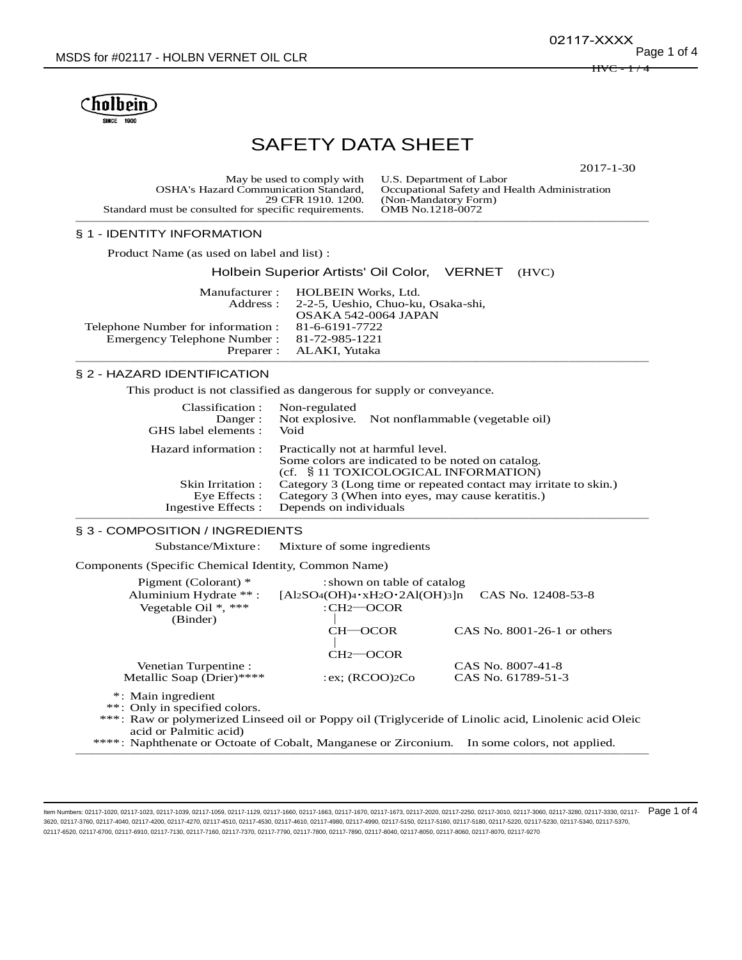$HVC - 1/4$ 02117-XXXX



# SAFETY DATA SHEET

2017-1-30

| May be used to comply with U.S. Department of Labor<br>Occupational Safety and Health Administration<br>(Non-Mandatory Form)<br>OMB No.1218-0072 |
|--------------------------------------------------------------------------------------------------------------------------------------------------|
|                                                                                                                                                  |
|                                                                                                                                                  |

# § 1 - IDENTITY INFORMATION

Product Name (as used on label and list) :

#### Holbein Superior Artists' Oil Color, VERNET (HVC)

|                                            | Manufacturer : HOLBEIN Works, Ltd.          |
|--------------------------------------------|---------------------------------------------|
|                                            | Address: 2-2-5, Ueshio, Chuo-ku, Osaka-shi, |
|                                            | OSAKA 542-0064 JAPAN                        |
| Telephone Number for information :         | 81-6-6191-7722                              |
| Emergency Telephone Number: 81-72-985-1221 |                                             |
|                                            | Preparer : ALAKI, Yutaka                    |
|                                            |                                             |

#### § 2 - HAZARD IDENTIFICATION

This product is not classified as dangerous for supply or conveyance.

| Classification :<br>Danger:<br>GHS label elements : | Non-regulated<br>Not explosive. Not nonflammable (vegetable oil)<br>Void                                                       |
|-----------------------------------------------------|--------------------------------------------------------------------------------------------------------------------------------|
| Hazard information :                                | Practically not at harmful level.<br>Some colors are indicated to be noted on catalog.<br>(cf. § 11 TOXICOLOGICAL INFORMATION) |
| Skin Irritation :                                   | Category 3 (Long time or repeated contact may irritate to skin.)                                                               |
| Eye Effects :                                       | Category 3 (When into eyes, may cause keratitis.)                                                                              |
| Ingestive Effects :                                 | Depends on individuals                                                                                                         |

───────────────────────────────────────────

#### § 3 - COMPOSITION / INGREDIENTS

Substance/Mixture: Mixture of some ingredients

Components (Specific Chemical Identity, Common Name)

| Pigment (Colorant) *               | : shown on table of catalog                                                                          |                               |
|------------------------------------|------------------------------------------------------------------------------------------------------|-------------------------------|
| Aluminium Hydrate **:              | $[A12SO4(OH)4 \cdot xH2O \cdot 2Al(OH)3]n$                                                           | CAS No. 12408-53-8            |
| Vegetable Oil $*, ***$<br>(Binder) | $:CH2 \rightarrow COCR$                                                                              |                               |
|                                    | $CH$ - $OCOR$                                                                                        | CAS No. $8001-26-1$ or others |
|                                    | $CH2$ —OCOR                                                                                          |                               |
| Venetian Turpentine :              |                                                                                                      | CAS No. 8007-41-8             |
| Metallic Soap (Drier)****          | : ex: $(RCOO)2Co$                                                                                    | CAS No. 61789-51-3            |
| *: Main ingredient                 |                                                                                                      |                               |
| **: Only in specified colors.      |                                                                                                      |                               |
| acid or Palmitic acid)             | ***: Raw or polymerized Linseed oil or Poppy oil (Triglyceride of Linolic acid, Linolenic acid Oleic |                               |
|                                    |                                                                                                      |                               |

\*\*\*\*: Naphthenate or Octoate of Cobalt, Manganese or Zirconium. In some colors, not applied. ───────────────────────────────────────────

ltem Numbers: 02117-1020, 02117-1023, 02117-1039, 02117-1059, 02117-1129, 02117-1660, 02117-1663, 02117-1663, 02117-1670, 02117-1670, 02117-1670, 02117-1670, 02117-1673, 02117-2020, 02117-2250, 02117-3010, 02117-3016, 0211 3620, 02117-3760, 02117-4040, 02117-4200, 02117-4270, 02117-4510, 02117-4530, 02117-4610, 02117-4980, 02117-4990, 02117-5150, 02117-5160, 02117-5180, 02117-5220, 02117-5230, 02117-5340, 02117-5370, 02117-6520, 02117-6700, 02117-6910, 02117-7130, 02117-7160, 02117-7370, 02117-7790, 02117-7800, 02117-7890, 02117-8040, 02117-8050, 02117-8060, 02117-8070, 02117-9270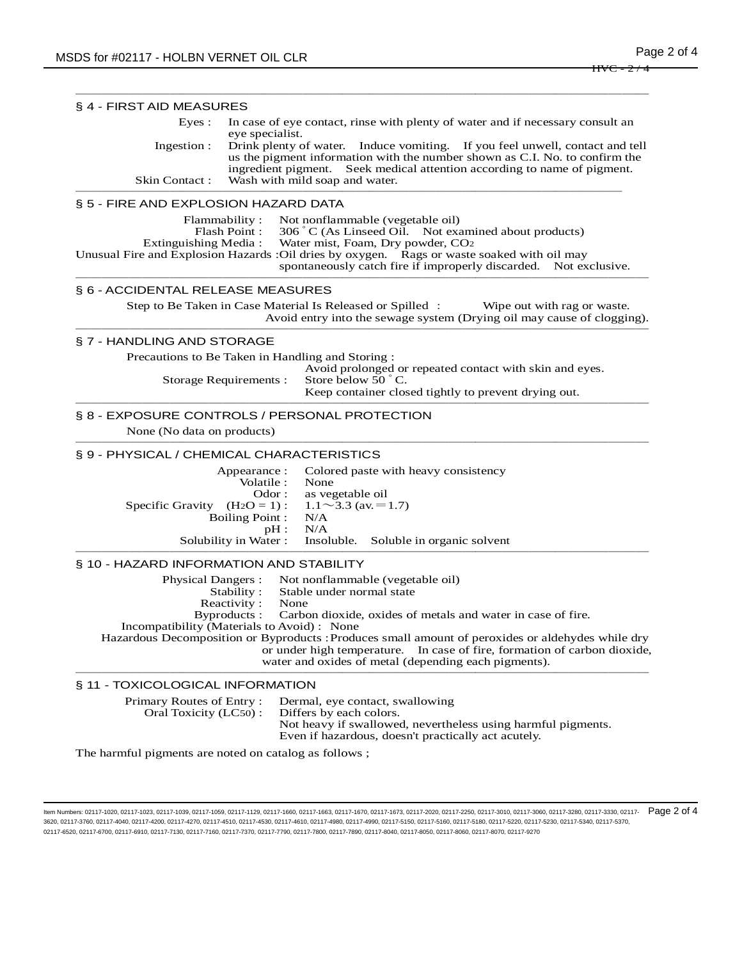|                                                                                                             | § 4 - FIRST AID MEASURES                                                                                                                                                                                                                 |  |  |  |
|-------------------------------------------------------------------------------------------------------------|------------------------------------------------------------------------------------------------------------------------------------------------------------------------------------------------------------------------------------------|--|--|--|
| Eyes :<br>In case of eye contact, rinse with plenty of water and if necessary consult an<br>eye specialist. |                                                                                                                                                                                                                                          |  |  |  |
| Ingestion:                                                                                                  | Drink plenty of water. Induce vomiting. If you feel unwell, contact and tell<br>us the pigment information with the number shown as C.I. No. to confirm the<br>ingredient pigment. Seek medical attention according to name of pigment.  |  |  |  |
| Skin Contact:<br>Wash with mild soap and water.                                                             |                                                                                                                                                                                                                                          |  |  |  |
| § 5 - FIRE AND EXPLOSION HAZARD DATA                                                                        |                                                                                                                                                                                                                                          |  |  |  |
|                                                                                                             | Not nonflammable (vegetable oil)<br>Flammability:<br>306 °C (As Linseed Oil. Not examined about products)<br>Flash Point:                                                                                                                |  |  |  |
| Extinguishing Media:                                                                                        | Water mist, Foam, Dry powder, CO2                                                                                                                                                                                                        |  |  |  |
|                                                                                                             | Unusual Fire and Explosion Hazards : Oil dries by oxygen. Rags or waste soaked with oil may<br>spontaneously catch fire if improperly discarded. Not exclusive.                                                                          |  |  |  |
| § 6 - ACCIDENTAL RELEASE MEASURES                                                                           |                                                                                                                                                                                                                                          |  |  |  |
|                                                                                                             | Step to Be Taken in Case Material Is Released or Spilled :<br>Wipe out with rag or waste.<br>Avoid entry into the sewage system (Drying oil may cause of clogging).                                                                      |  |  |  |
| § 7 - HANDLING AND STORAGE                                                                                  |                                                                                                                                                                                                                                          |  |  |  |
|                                                                                                             | Precautions to Be Taken in Handling and Storing:                                                                                                                                                                                         |  |  |  |
|                                                                                                             | Avoid prolonged or repeated contact with skin and eyes.<br>Store below 50 °C.<br>Storage Requirements :                                                                                                                                  |  |  |  |
|                                                                                                             | Keep container closed tightly to prevent drying out.                                                                                                                                                                                     |  |  |  |
|                                                                                                             | § 8 - EXPOSURE CONTROLS / PERSONAL PROTECTION                                                                                                                                                                                            |  |  |  |
| None (No data on products)                                                                                  |                                                                                                                                                                                                                                          |  |  |  |
|                                                                                                             | § 9 - PHYSICAL / CHEMICAL CHARACTERISTICS                                                                                                                                                                                                |  |  |  |
|                                                                                                             | Appearance :<br>Colored paste with heavy consistency                                                                                                                                                                                     |  |  |  |
|                                                                                                             | Volatile :<br>None<br>Odor:<br>as vegetable oil                                                                                                                                                                                          |  |  |  |
| Specific Gravity $(H_2O = 1)$ :                                                                             | $1.1 \sim 3.3$ (av. = 1.7)                                                                                                                                                                                                               |  |  |  |
|                                                                                                             | <b>Boiling Point:</b><br>N/A<br>N/A                                                                                                                                                                                                      |  |  |  |
|                                                                                                             | pH:<br>Insoluble. Soluble in organic solvent<br>Solubility in Water:                                                                                                                                                                     |  |  |  |
| § 10 - HAZARD INFORMATION AND STABILITY                                                                     |                                                                                                                                                                                                                                          |  |  |  |
| <b>Physical Dangers:</b>                                                                                    | Not nonflammable (vegetable oil)                                                                                                                                                                                                         |  |  |  |
|                                                                                                             | Stability:<br>Stable under normal state                                                                                                                                                                                                  |  |  |  |
|                                                                                                             |                                                                                                                                                                                                                                          |  |  |  |
| Reactivity:                                                                                                 | None<br>Byproducts:                                                                                                                                                                                                                      |  |  |  |
|                                                                                                             | Carbon dioxide, oxides of metals and water in case of fire.<br>Incompatibility (Materials to Avoid): None                                                                                                                                |  |  |  |
|                                                                                                             | Hazardous Decomposition or Byproducts : Produces small amount of peroxides or aldehydes while dry<br>In case of fire, formation of carbon dioxide,<br>or under high temperature.<br>water and oxides of metal (depending each pigments). |  |  |  |
| § 11 - TOXICOLOGICAL INFORMATION                                                                            |                                                                                                                                                                                                                                          |  |  |  |
| Primary Routes of Entry:<br>Oral Toxicity (LC50):                                                           | Dermal, eye contact, swallowing<br>Differs by each colors.                                                                                                                                                                               |  |  |  |

The harmful pigments are noted on catalog as follows ;

ltem Numbers: 02117-1020, 02117-1023, 02117-1039, 02117-1059, 02117-1129, 02117-1660, 02117-1663, 02117-1663, 02117-1670, 02117-1670, 02117-1670, 02117-1670, 02117-1673, 02117-2020, 02117-2250, 02117-3010, 02117-3016, 0211 3620, 02117-3760, 02117-4040, 02117-4200, 02117-4270, 02117-4510, 02117-4530, 02117-4610, 02117-4980, 02117-4990, 02117-5150, 02117-5160, 02117-5180, 02117-5220, 02117-5230, 02117-5340, 02117-5370, 02117-6520, 02117-6700, 02117-6910, 02117-7130, 02117-7160, 02117-7370, 02117-7790, 02117-7800, 02117-7890, 02117-8040, 02117-8050, 02117-8060, 02117-8070, 02117-9270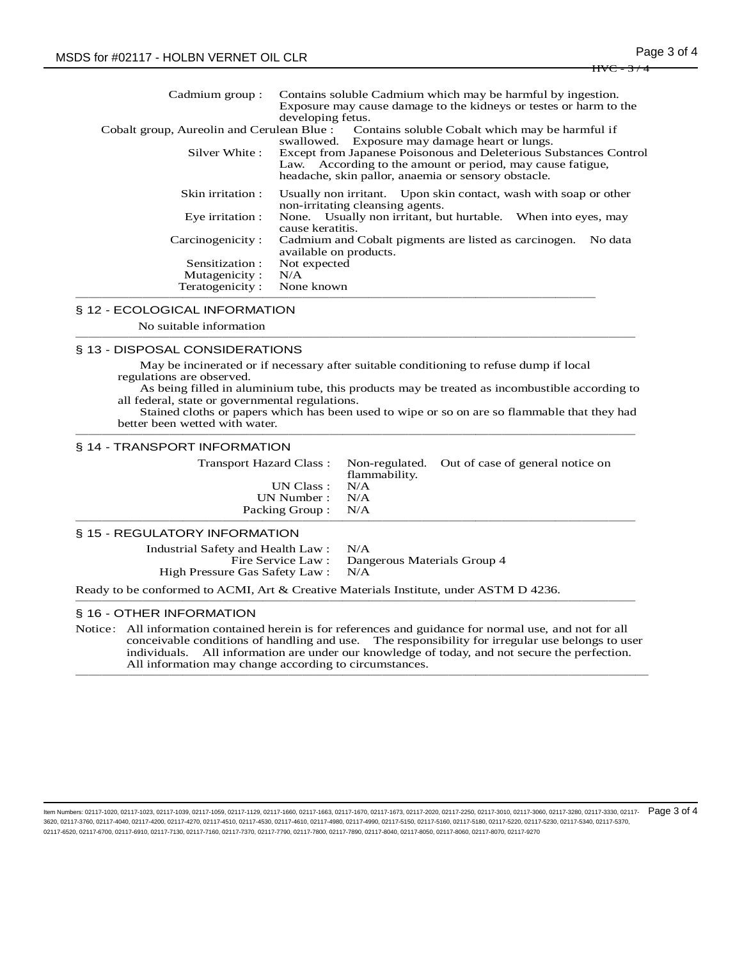| Cadmium group :  | Contains soluble Cadmium which may be harmful by ingestion.<br>Exposure may cause damage to the kidneys or testes or harm to the<br>developing fetus.                                  |  |  |
|------------------|----------------------------------------------------------------------------------------------------------------------------------------------------------------------------------------|--|--|
|                  | Cobalt group, Aureolin and Cerulean Blue : Contains soluble Cobalt which may be harmful if<br>swallowed. Exposure may damage heart or lungs.                                           |  |  |
| Silver White :   | Except from Japanese Poisonous and Deleterious Substances Control<br>Law. According to the amount or period, may cause fatigue,<br>headache, skin pallor, anaemia or sensory obstacle. |  |  |
| Skin irritation: | Usually non irritant. Upon skin contact, wash with soap or other<br>non-irritating cleansing agents.                                                                                   |  |  |
| Eye irritation : | None. Usually non irritant, but hurtable. When into eyes, may<br>cause keratitis.                                                                                                      |  |  |
| Carcinogenicity: | Cadmium and Cobalt pigments are listed as carcinogen.<br>No data<br>available on products.                                                                                             |  |  |
| Sensitization :  | Not expected                                                                                                                                                                           |  |  |
| Mutagenicity:    | N/A                                                                                                                                                                                    |  |  |
| Teratogenicity:  | None known                                                                                                                                                                             |  |  |
|                  |                                                                                                                                                                                        |  |  |

### § 12 - ECOLOGICAL INFORMATION

 No suitable information ──────────────────────────────────────────

#### § 13 - DISPOSAL CONSIDERATIONS

 May be incinerated or if necessary after suitable conditioning to refuse dump if local regulations are observed.

As being filled in aluminium tube, this products may be treated as incombustible according to all federal, state or governmental regulations.

Stained cloths or papers which has been used to wipe or so on are so flammable that they had better been wetted with water. ──────────────────────────────────────────

#### § 14 - TRANSPORT INFORMATION

|                     | flammability. | Transport Hazard Class: Non-regulated. Out of case of general notice on |
|---------------------|---------------|-------------------------------------------------------------------------|
| UN Class : $N/A$    |               |                                                                         |
| UN Number : $N/A$   |               |                                                                         |
| Packing Group : N/A |               |                                                                         |
|                     |               |                                                                         |

# § 15 - REGULATORY INFORMATION

Industrial Safety and Health Law : N/A Fire Service Law : Dangerous Materials Group 4 High Pressure Gas Safety Law : N/A

Ready to be conformed to ACMI, Art & Creative Materials Institute, under ASTM D 4236. ──────────────────────────────────────────

# § 16 - OTHER INFORMATION

Notice: All information contained herein is for references and guidance for normal use, and not for all conceivable conditions of handling and use. The responsibility for irregular use belongs to user individuals. All information are under our knowledge of today, and not secure the perfection. All information may change according to circumstances. ───────────────────────────────────────────

ltem Numbers: 02117-1020, 02117-1023, 02117-1039, 02117-1059, 02117-1129, 02117-1660, 02117-1663, 02117-1663, 02117-1670, 02117-1670, 02117-1670, 02117-1670, 02117-1670, 02117-1220, 02117-2250, 02117-2010, 02117-3010, 0211 3620, 02117-3760, 02117-4040, 02117-4200, 02117-4270, 02117-4510, 02117-4530, 02117-4610, 02117-4980, 02117-4990, 02117-5150, 02117-5160, 02117-5180, 02117-5220, 02117-5230, 02117-5340, 02117-5370, 02117-6520, 02117-6700, 02117-6910, 02117-7130, 02117-7160, 02117-7370, 02117-7790, 02117-7800, 02117-7890, 02117-8040, 02117-8050, 02117-8060, 02117-8070, 02117-9270